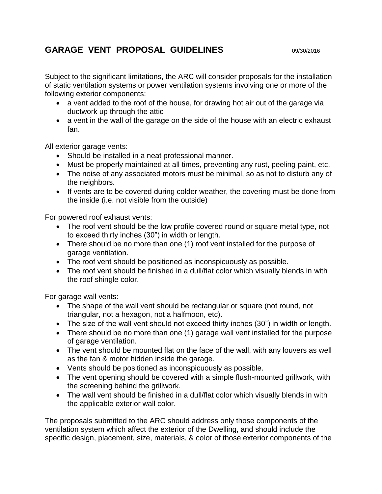## **GARAGE VENT PROPOSAL GUIDELINES** 09/30/2016

Subject to the significant limitations, the ARC will consider proposals for the installation of static ventilation systems or power ventilation systems involving one or more of the following exterior components:

- a vent added to the roof of the house, for drawing hot air out of the garage via ductwork up through the attic
- a vent in the wall of the garage on the side of the house with an electric exhaust fan.

All exterior garage vents:

- Should be installed in a neat professional manner.
- Must be properly maintained at all times, preventing any rust, peeling paint, etc.
- The noise of any associated motors must be minimal, so as not to disturb any of the neighbors.
- If vents are to be covered during colder weather, the covering must be done from the inside (i.e. not visible from the outside)

For powered roof exhaust vents:

- The roof vent should be the low profile covered round or square metal type, not to exceed thirty inches (30") in width or length.
- There should be no more than one (1) roof vent installed for the purpose of garage ventilation.
- The roof vent should be positioned as inconspicuously as possible.
- The roof vent should be finished in a dull/flat color which visually blends in with the roof shingle color.

For garage wall vents:

- The shape of the wall vent should be rectangular or square (not round, not triangular, not a hexagon, not a halfmoon, etc).
- The size of the wall vent should not exceed thirty inches (30") in width or length.
- There should be no more than one (1) garage wall vent installed for the purpose of garage ventilation.
- The vent should be mounted flat on the face of the wall, with any louvers as well as the fan & motor hidden inside the garage.
- Vents should be positioned as inconspicuously as possible.
- The vent opening should be covered with a simple flush-mounted grillwork, with the screening behind the grillwork.
- The wall vent should be finished in a dull/flat color which visually blends in with the applicable exterior wall color.

The proposals submitted to the ARC should address only those components of the ventilation system which affect the exterior of the Dwelling, and should include the specific design, placement, size, materials, & color of those exterior components of the